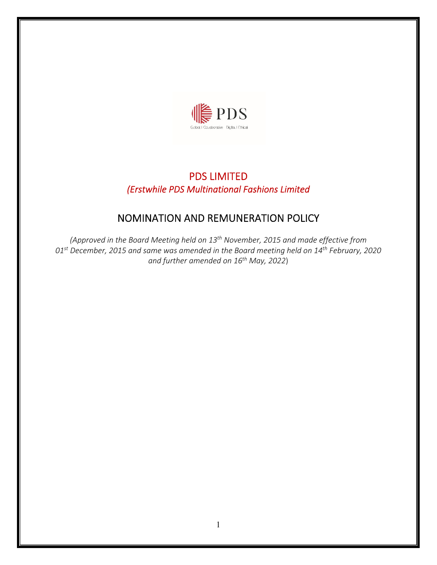

## PDS LIMITED *(Erstwhile PDS Multinational Fashions Limited*

# NOMINATION AND REMUNERATION POLICY

*(Approved in the Board Meeting held on 13th November, 2015 and made effective from 01st December, 2015 and same was amended in the Board meeting held on 14th February, 2020 and further amended on 16th May, 2022*)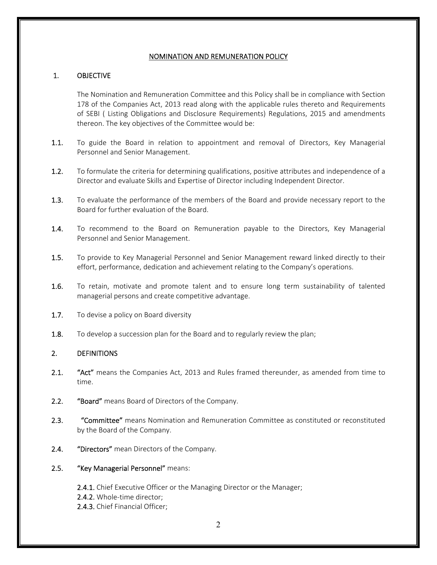## NOMINATION AND REMUNERATION POLICY

## 1. OBJECTIVE

The Nomination and Remuneration Committee and this Policy shall be in compliance with Section 178 of the Companies Act, 2013 read along with the applicable rules thereto and Requirements of SEBI ( Listing Obligations and Disclosure Requirements) Regulations, 2015 and amendments thereon. The key objectives of the Committee would be:

- 1.1. To guide the Board in relation to appointment and removal of Directors, Key Managerial Personnel and Senior Management.
- 1.2. To formulate the criteria for determining qualifications, positive attributes and independence of a Director and evaluate Skills and Expertise of Director including Independent Director.
- 1.3. To evaluate the performance of the members of the Board and provide necessary report to the Board for further evaluation of the Board.
- 1.4. To recommend to the Board on Remuneration payable to the Directors, Key Managerial Personnel and Senior Management.
- 1.5. To provide to Key Managerial Personnel and Senior Management reward linked directly to their effort, performance, dedication and achievement relating to the Company's operations.
- 1.6. To retain, motivate and promote talent and to ensure long term sustainability of talented managerial persons and create competitive advantage.
- 1.7. To devise a policy on Board diversity
- 1.8. To develop a succession plan for the Board and to regularly review the plan;

## 2. DEFINITIONS

- 2.1. "Act" means the Companies Act, 2013 and Rules framed thereunder, as amended from time to time.
- 2.2. "Board" means Board of Directors of the Company.
- 2.3. **"Committee"** means Nomination and Remuneration Committee as constituted or reconstituted by the Board of the Company.
- 2.4. **"Directors"** mean Directors of the Company.
- 2.5. "Key Managerial Personnel" means:
	- 2.4.1. Chief Executive Officer or the Managing Director or the Manager;
	- 2.4.2. Whole‐time director;
	- 2.4.3. Chief Financial Officer;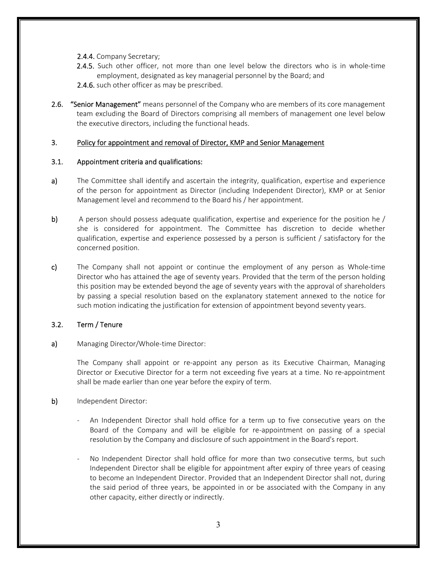- 2.4.4. Company Secretary;
- 2.4.5. Such other officer, not more than one level below the directors who is in whole-time employment, designated as key managerial personnel by the Board; and
- 2.4.6. such other officer as may be prescribed.
- 2.6. **"Senior Management"** means personnel of the Company who are members of its core management team excluding the Board of Directors comprising all members of management one level below the executive directors, including the functional heads.

## 3. Policy for appointment and removal of Director, KMP and Senior Management

## 3.1. Appointment criteria and qualifications:

- a) The Committee shall identify and ascertain the integrity, qualification, expertise and experience of the person for appointment as Director (including Independent Director), KMP or at Senior Management level and recommend to the Board his / her appointment.
- b) A person should possess adequate qualification, expertise and experience for the position he / she is considered for appointment. The Committee has discretion to decide whether qualification, expertise and experience possessed by a person is sufficient / satisfactory for the concerned position.
- c) The Company shall not appoint or continue the employment of any person as Whole-time Director who has attained the age of seventy years. Provided that the term of the person holding this position may be extended beyond the age of seventy years with the approval of shareholders by passing a special resolution based on the explanatory statement annexed to the notice for such motion indicating the justification for extension of appointment beyond seventy years.

## 3.2. Term / Tenure

a) Managing Director/Whole-time Director:

The Company shall appoint or re‐appoint any person as its Executive Chairman, Managing Director or Executive Director for a term not exceeding five years at a time. No re‐appointment shall be made earlier than one year before the expiry of term.

- b) Independent Director:
	- An Independent Director shall hold office for a term up to five consecutive years on the Board of the Company and will be eligible for re‐appointment on passing of a special resolution by the Company and disclosure of such appointment in the Board's report.
	- No Independent Director shall hold office for more than two consecutive terms, but such Independent Director shall be eligible for appointment after expiry of three years of ceasing to become an Independent Director. Provided that an Independent Director shall not, during the said period of three years, be appointed in or be associated with the Company in any other capacity, either directly or indirectly.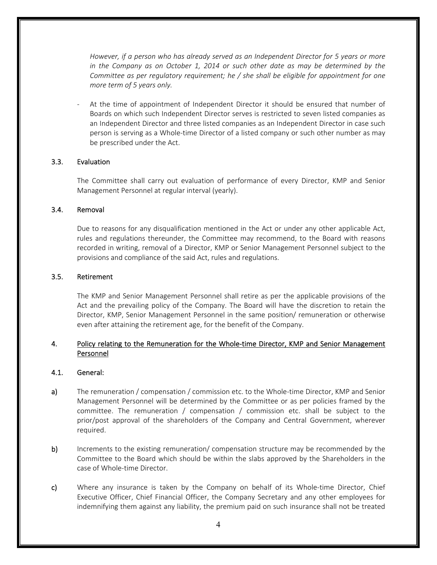*However, if a person who has already served as an Independent Director for 5 years or more in the Company as on October 1, 2014 or such other date as may be determined by the Committee as per regulatory requirement; he / she shall be eligible for appointment for one more term of 5 years only.*

At the time of appointment of Independent Director it should be ensured that number of Boards on which such Independent Director serves is restricted to seven listed companies as an Independent Director and three listed companies as an Independent Director in case such person is serving as a Whole-time Director of a listed company or such other number as may be prescribed under the Act.

#### 3.3. Evaluation

The Committee shall carry out evaluation of performance of every Director, KMP and Senior Management Personnel at regular interval (yearly).

#### 3.4. Removal

Due to reasons for any disqualification mentioned in the Act or under any other applicable Act, rules and regulations thereunder, the Committee may recommend, to the Board with reasons recorded in writing, removal of a Director, KMP or Senior Management Personnel subject to the provisions and compliance of the said Act, rules and regulations.

#### 3.5. Retirement

The KMP and Senior Management Personnel shall retire as per the applicable provisions of the Act and the prevailing policy of the Company. The Board will have the discretion to retain the Director, KMP, Senior Management Personnel in the same position/ remuneration or otherwise even after attaining the retirement age, for the benefit of the Company.

## 4. Policy relating to the Remuneration for the Whole-time Director, KMP and Senior Management Personnel

#### 4.1. General:

- a) The remuneration / compensation / commission etc. to the Whole-time Director, KMP and Senior Management Personnel will be determined by the Committee or as per policies framed by the committee. The remuneration / compensation / commission etc. shall be subject to the prior/post approval of the shareholders of the Company and Central Government, wherever required.
- b) Increments to the existing remuneration/ compensation structure may be recommended by the Committee to the Board which should be within the slabs approved by the Shareholders in the case of Whole‐time Director.
- c) Where any insurance is taken by the Company on behalf of its Whole-time Director, Chief Executive Officer, Chief Financial Officer, the Company Secretary and any other employees for indemnifying them against any liability, the premium paid on such insurance shall not be treated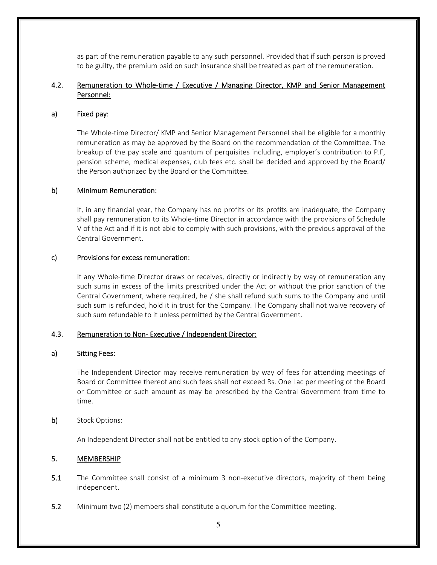as part of the remuneration payable to any such personnel. Provided that if such person is proved to be guilty, the premium paid on such insurance shall be treated as part of the remuneration.

## 4.2. Remuneration to Whole-time / Executive / Managing Director, KMP and Senior Management Personnel:

#### a) Fixed pay:

The Whole‐time Director/ KMP and Senior Management Personnel shall be eligible for a monthly remuneration as may be approved by the Board on the recommendation of the Committee. The breakup of the pay scale and quantum of perquisites including, employer's contribution to P.F, pension scheme, medical expenses, club fees etc. shall be decided and approved by the Board/ the Person authorized by the Board or the Committee.

#### b) Minimum Remuneration:

If, in any financial year, the Company has no profits or its profits are inadequate, the Company shall pay remuneration to its Whole-time Director in accordance with the provisions of Schedule V of the Act and if it is not able to comply with such provisions, with the previous approval of the Central Government.

#### c) Provisions for excess remuneration:

If any Whole‐time Director draws or receives, directly or indirectly by way of remuneration any such sums in excess of the limits prescribed under the Act or without the prior sanction of the Central Government, where required, he / she shall refund such sums to the Company and until such sum is refunded, hold it in trust for the Company. The Company shall not waive recovery of such sum refundable to it unless permitted by the Central Government.

#### 4.3. Remuneration to Non-Executive / Independent Director:

#### a) Sitting Fees:

The Independent Director may receive remuneration by way of fees for attending meetings of Board or Committee thereof and such fees shall not exceed Rs. One Lac per meeting of the Board or Committee or such amount as may be prescribed by the Central Government from time to time.

#### b) Stock Options:

An Independent Director shall not be entitled to any stock option of the Company.

## 5. MEMBERSHIP

- 5.1 The Committee shall consist of a minimum 3 non-executive directors, majority of them being independent.
- 5.2 Minimum two (2) members shall constitute a quorum for the Committee meeting.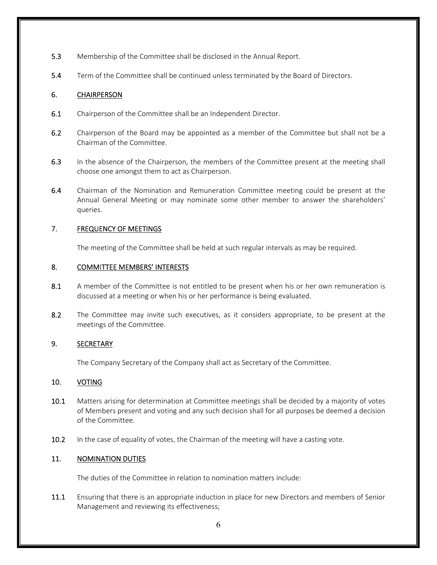- 5.3 Membership of the Committee shall be disclosed in the Annual Report.
- 5.4 Term of the Committee shall be continued unless terminated by the Board of Directors.

## 6. CHAIRPERSON

- 6.1 Chairperson of the Committee shall be an Independent Director.
- 6.2 Chairperson of the Board may be appointed as a member of the Committee but shall not be a Chairman of the Committee.
- 6.3 In the absence of the Chairperson, the members of the Committee present at the meeting shall choose one amongst them to act as Chairperson.
- 6.4 Chairman of the Nomination and Remuneration Committee meeting could be present at the Annual General Meeting or may nominate some other member to answer the shareholders' queries.

## 7. FREQUENCY OF MEETINGS

The meeting of the Committee shall be held at such regular intervals as may be required.

## 8. COMMITTEE MEMBERS' INTERESTS

- 8.1 A member of the Committee is not entitled to be present when his or her own remuneration is discussed at a meeting or when his or her performance is being evaluated.
- 8.2 The Committee may invite such executives, as it considers appropriate, to be present at the meetings of the Committee.

## 9. SECRETARY

The Company Secretary of the Company shall act as Secretary of the Committee.

## 10. VOTING

- 10.1 Matters arising for determination at Committee meetings shall be decided by a majority of votes of Members present and voting and any such decision shall for all purposes be deemed a decision of the Committee.
- 10.2 In the case of equality of votes, the Chairman of the meeting will have a casting vote.

## 11. NOMINATION DUTIES

The duties of the Committee in relation to nomination matters include:

11.1 Ensuring that there is an appropriate induction in place for new Directors and members of Senior Management and reviewing its effectiveness;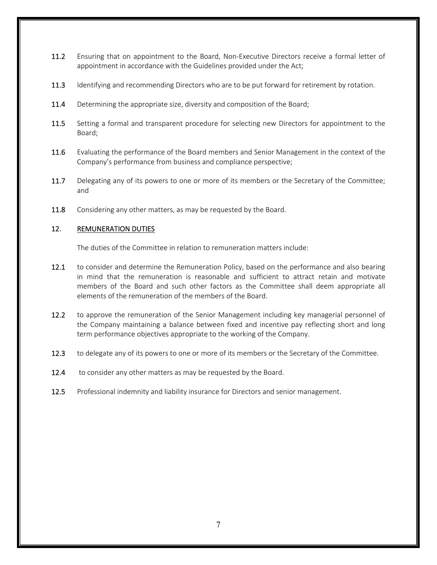- 11.2 Ensuring that on appointment to the Board, Non-Executive Directors receive a formal letter of appointment in accordance with the Guidelines provided under the Act;
- 11.3 Identifying and recommending Directors who are to be put forward for retirement by rotation.
- 11.4 Determining the appropriate size, diversity and composition of the Board;
- 11.5 Setting a formal and transparent procedure for selecting new Directors for appointment to the Board;
- 11.6 Evaluating the performance of the Board members and Senior Management in the context of the Company's performance from business and compliance perspective;
- 11.7 Delegating any of its powers to one or more of its members or the Secretary of the Committee; and
- 11.8 Considering any other matters, as may be requested by the Board.

## 12. REMUNERATION DUTIES

The duties of the Committee in relation to remuneration matters include:

- 12.1 to consider and determine the Remuneration Policy, based on the performance and also bearing in mind that the remuneration is reasonable and sufficient to attract retain and motivate members of the Board and such other factors as the Committee shall deem appropriate all elements of the remuneration of the members of the Board.
- 12.2 to approve the remuneration of the Senior Management including key managerial personnel of the Company maintaining a balance between fixed and incentive pay reflecting short and long term performance objectives appropriate to the working of the Company.
- 12.3 to delegate any of its powers to one or more of its members or the Secretary of the Committee.
- 12.4 to consider any other matters as may be requested by the Board.
- 12.5 Professional indemnity and liability insurance for Directors and senior management.